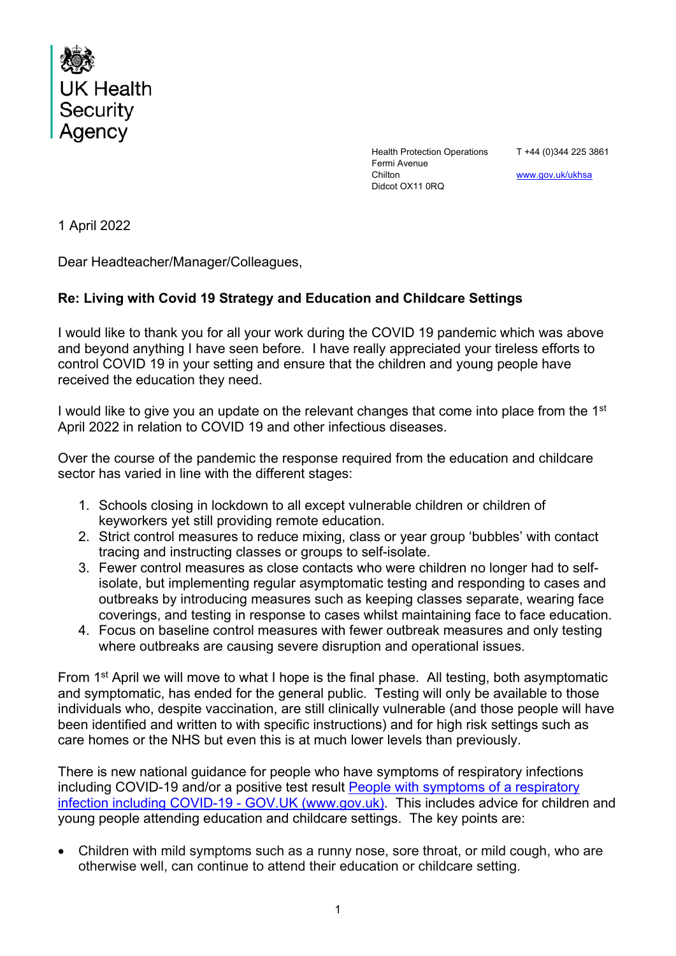

Health Protection Operations Fermi Avenue Chilton Didcot OX11 0RQ

T +44 (0)344 225 3861

[www.gov.uk/ukhsa](http://www.gov.uk/ukhsa)

1 April 2022

Dear Headteacher/Manager/Colleagues,

## **Re: Living with Covid 19 Strategy and Education and Childcare Settings**

I would like to thank you for all your work during the COVID 19 pandemic which was above and beyond anything I have seen before. I have really appreciated your tireless efforts to control COVID 19 in your setting and ensure that the children and young people have received the education they need.

I would like to give you an update on the relevant changes that come into place from the 1<sup>st</sup> April 2022 in relation to COVID 19 and other infectious diseases.

Over the course of the pandemic the response required from the education and childcare sector has varied in line with the different stages:

- 1. Schools closing in lockdown to all except vulnerable children or children of keyworkers yet still providing remote education.
- 2. Strict control measures to reduce mixing, class or year group 'bubbles' with contact tracing and instructing classes or groups to self-isolate.
- 3. Fewer control measures as close contacts who were children no longer had to selfisolate, but implementing regular asymptomatic testing and responding to cases and outbreaks by introducing measures such as keeping classes separate, wearing face coverings, and testing in response to cases whilst maintaining face to face education.
- 4. Focus on baseline control measures with fewer outbreak measures and only testing where outbreaks are causing severe disruption and operational issues.

From 1<sup>st</sup> April we will move to what I hope is the final phase. All testing, both asymptomatic and symptomatic, has ended for the general public. Testing will only be available to those individuals who, despite vaccination, are still clinically vulnerable (and those people will have been identified and written to with specific instructions) and for high risk settings such as care homes or the NHS but even this is at much lower levels than previously.

There is new national guidance for people who have symptoms of respiratory infections including COVID-19 and/or a positive test result [People with symptoms of a respiratory](https://www.gov.uk/guidance/people-with-symptoms-of-a-respiratory-infection-including-covid-19#Children)  [infection including COVID-19 - GOV.UK \(www.gov.uk\).](https://www.gov.uk/guidance/people-with-symptoms-of-a-respiratory-infection-including-covid-19#Children) This includes advice for children and young people attending education and childcare settings. The key points are:

• Children with mild symptoms such as a runny nose, sore throat, or mild cough, who are otherwise well, can continue to attend their education or childcare setting.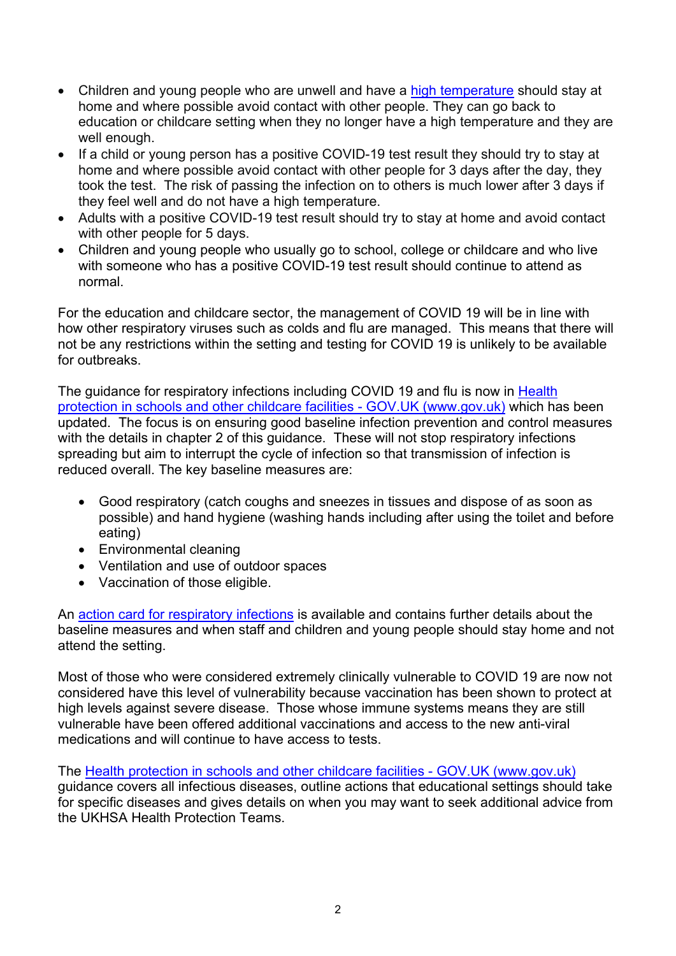- Children and young people who are unwell and have a [high temperature](https://www.nhs.uk/conditions/fever-in-children/) should stay at home and where possible avoid contact with other people. They can go back to education or childcare setting when they no longer have a high temperature and they are well enough.
- If a child or young person has a positive COVID-19 test result they should try to stay at home and where possible avoid contact with other people for 3 days after the day, they took the test. The risk of passing the infection on to others is much lower after 3 days if they feel well and do not have a high temperature.
- Adults with a positive COVID-19 test result should try to stay at home and avoid contact with other people for 5 days.
- Children and young people who usually go to school, college or childcare and who live with someone who has a positive COVID-19 test result should continue to attend as normal.

For the education and childcare sector, the management of COVID 19 will be in line with how other respiratory viruses such as colds and flu are managed. This means that there will not be any restrictions within the setting and testing for COVID 19 is unlikely to be available for outbreaks.

The guidance for respiratory infections including COVID 19 and flu is now in Health [protection in schools and other childcare facilities - GOV.UK \(www.gov.uk\)](https://www.gov.uk/government/publications/health-protection-in-schools-and-other-childcare-facilities) which has been updated. The focus is on ensuring good baseline infection prevention and control measures with the details in chapter 2 of this guidance. These will not stop respiratory infections spreading but aim to interrupt the cycle of infection so that transmission of infection is reduced overall. The key baseline measures are:

- Good respiratory (catch coughs and sneezes in tissues and dispose of as soon as possible) and hand hygiene (washing hands including after using the toilet and before eating)
- Environmental cleaning
- Ventilation and use of outdoor spaces
- Vaccination of those eligible.

An [action card for respiratory](https://www.kelsi.org.uk/__data/assets/pdf_file/0018/135117/Respiratory-Outbreak-Action-Card-Education-and-Childcare-Settings.pdf) infections is available and contains further details about the baseline measures and when staff and children and young people should stay home and not attend the setting.

Most of those who were considered extremely clinically vulnerable to COVID 19 are now not considered have this level of vulnerability because vaccination has been shown to protect at high levels against severe disease. Those whose immune systems means they are still vulnerable have been offered additional vaccinations and access to the new anti-viral medications and will continue to have access to tests.

The Health protection in schools and other [childcare facilities](https://www.gov.uk/government/publications/health-protection-in-schools-and-other-childcare-facilities) - GOV.UK (www.gov.uk) guidance covers all infectious diseases, outline actions that educational settings should take for specific diseases and gives details on when you may want to seek additional advice from the UKHSA Health Protection Teams.